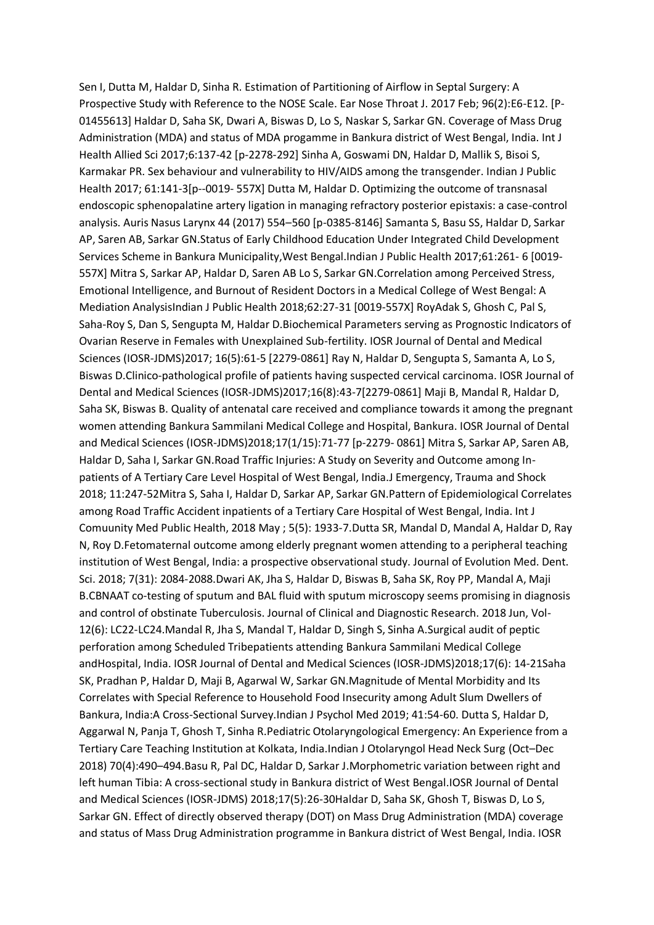Sen I, Dutta M, Haldar D, Sinha R. Estimation of Partitioning of Airflow in Septal Surgery: A Prospective Study with Reference to the NOSE Scale. Ear Nose Throat J. 2017 Feb; 96(2):E6-E12. [P-01455613] Haldar D, Saha SK, Dwari A, Biswas D, Lo S, Naskar S, Sarkar GN. Coverage of Mass Drug Administration (MDA) and status of MDA progamme in Bankura district of West Bengal, India. Int J Health Allied Sci 2017;6:137-42 [p-2278-292] Sinha A, Goswami DN, Haldar D, Mallik S, Bisoi S, Karmakar PR. Sex behaviour and vulnerability to HIV/AIDS among the transgender. Indian J Public Health 2017; 61:141-3[p--0019- 557X] Dutta M, Haldar D. Optimizing the outcome of transnasal endoscopic sphenopalatine artery ligation in managing refractory posterior epistaxis: a case-control analysis. Auris Nasus Larynx 44 (2017) 554–560 [p-0385-8146] Samanta S, Basu SS, Haldar D, Sarkar AP, Saren AB, Sarkar GN.Status of Early Childhood Education Under Integrated Child Development Services Scheme in Bankura Municipality,West Bengal.Indian J Public Health 2017;61:261- 6 [0019- 557X] Mitra S, Sarkar AP, Haldar D, Saren AB Lo S, Sarkar GN.Correlation among Perceived Stress, Emotional Intelligence, and Burnout of Resident Doctors in a Medical College of West Bengal: A Mediation AnalysisIndian J Public Health 2018;62:27-31 [0019-557X] RoyAdak S, Ghosh C, Pal S, Saha-Roy S, Dan S, Sengupta M, Haldar D.Biochemical Parameters serving as Prognostic Indicators of Ovarian Reserve in Females with Unexplained Sub-fertility. IOSR Journal of Dental and Medical Sciences (IOSR-JDMS)2017; 16(5):61-5 [2279-0861] Ray N, Haldar D, Sengupta S, Samanta A, Lo S, Biswas D.Clinico-pathological profile of patients having suspected cervical carcinoma. IOSR Journal of Dental and Medical Sciences (IOSR-JDMS)2017;16(8):43-7[2279-0861] Maji B, Mandal R, Haldar D, Saha SK, Biswas B. Quality of antenatal care received and compliance towards it among the pregnant women attending Bankura Sammilani Medical College and Hospital, Bankura. IOSR Journal of Dental and Medical Sciences (IOSR-JDMS)2018;17(1/15):71-77 [p-2279- 0861] Mitra S, Sarkar AP, Saren AB, Haldar D, Saha I, Sarkar GN.Road Traffic Injuries: A Study on Severity and Outcome among Inpatients of A Tertiary Care Level Hospital of West Bengal, India.J Emergency, Trauma and Shock 2018; 11:247-52Mitra S, Saha I, Haldar D, Sarkar AP, Sarkar GN.Pattern of Epidemiological Correlates among Road Traffic Accident inpatients of a Tertiary Care Hospital of West Bengal, India. Int J Comuunity Med Public Health, 2018 May ; 5(5): 1933-7.Dutta SR, Mandal D, Mandal A, Haldar D, Ray N, Roy D.Fetomaternal outcome among elderly pregnant women attending to a peripheral teaching institution of West Bengal, India: a prospective observational study. Journal of Evolution Med. Dent. Sci. 2018; 7(31): 2084-2088.Dwari AK, Jha S, Haldar D, Biswas B, Saha SK, Roy PP, Mandal A, Maji B.CBNAAT co-testing of sputum and BAL fluid with sputum microscopy seems promising in diagnosis and control of obstinate Tuberculosis. Journal of Clinical and Diagnostic Research. 2018 Jun, Vol-12(6): LC22-LC24.Mandal R, Jha S, Mandal T, Haldar D, Singh S, Sinha A.Surgical audit of peptic perforation among Scheduled Tribepatients attending Bankura Sammilani Medical College andHospital, India. IOSR Journal of Dental and Medical Sciences (IOSR-JDMS)2018;17(6): 14-21Saha SK, Pradhan P, Haldar D, Maji B, Agarwal W, Sarkar GN.Magnitude of Mental Morbidity and Its Correlates with Special Reference to Household Food Insecurity among Adult Slum Dwellers of Bankura, India:A Cross-Sectional Survey.Indian J Psychol Med 2019; 41:54-60. Dutta S, Haldar D, Aggarwal N, Panja T, Ghosh T, Sinha R.Pediatric Otolaryngological Emergency: An Experience from a Tertiary Care Teaching Institution at Kolkata, India.Indian J Otolaryngol Head Neck Surg (Oct–Dec 2018) 70(4):490–494.Basu R, Pal DC, Haldar D, Sarkar J.Morphometric variation between right and left human Tibia: A cross-sectional study in Bankura district of West Bengal.IOSR Journal of Dental and Medical Sciences (IOSR-JDMS) 2018;17(5):26-30Haldar D, Saha SK, Ghosh T, Biswas D, Lo S, Sarkar GN. Effect of directly observed therapy (DOT) on Mass Drug Administration (MDA) coverage and status of Mass Drug Administration programme in Bankura district of West Bengal, India. IOSR